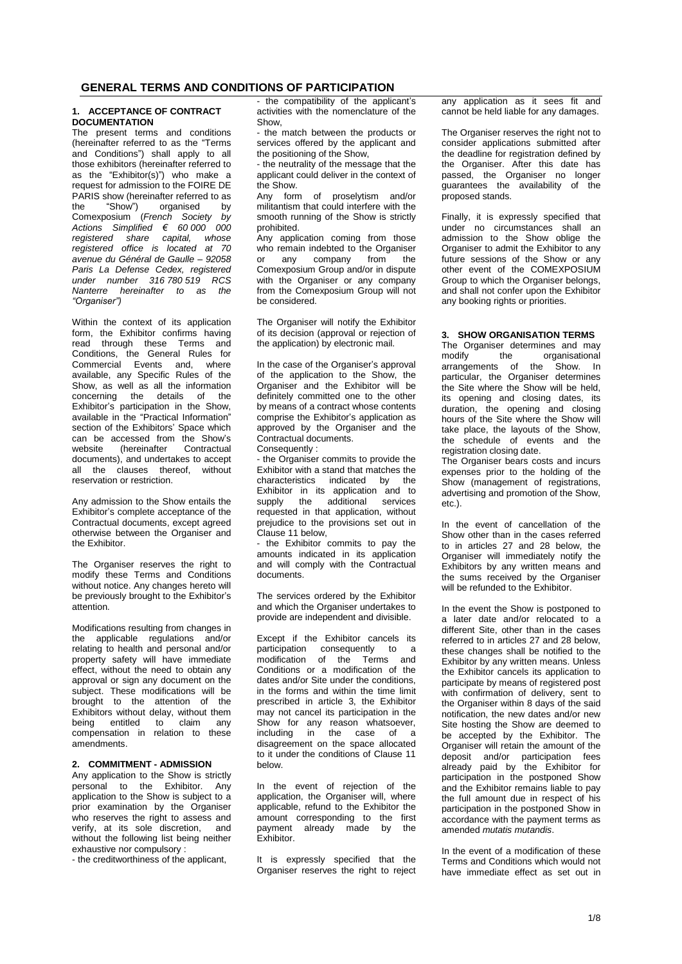# **GENERAL TERMS AND CONDITIONS OF PARTICIPATION**

## **1. ACCEPTANCE OF CONTRACT DOCUMENTATION**

The present terms and conditions (hereinafter referred to as the "Terms and Conditions") shall apply to all those exhibitors (hereinafter referred to as the "Exhibitor(s)") who make a request for admission to the FOIRE DE PARIS show (hereinafter referred to as the "Show") organised by Comexposium (*French Society by Actions Simplified € 60 000 000 registered share capital, whose registered office is located at 70 avenue du Général de Gaulle – 92058 Paris La Defense Cedex, registered under number 316 780 519 RCS Nanterre hereinafter to as the "Organiser")*

Within the context of its application form, the Exhibitor confirms having read through these Terms and Conditions, the General Rules for Commercial Events and, where available, any Specific Rules of the Show, as well as all the information concerning the details of the Exhibitor's participation in the Show, available in the "Practical Information" section of the Exhibitors' Space which can be accessed from the Show's website (hereinafter Contractual documents), and undertakes to accept all the clauses thereof, without reservation or restriction.

Any admission to the Show entails the Exhibitor's complete acceptance of the Contractual documents, except agreed otherwise between the Organiser and the Exhibitor.

The Organiser reserves the right to modify these Terms and Conditions without notice. Any changes hereto will be previously brought to the Exhibitor's attention.

Modifications resulting from changes in the applicable regulations and/or relating to health and personal and/or property safety will have immediate effect, without the need to obtain any approval or sign any document on the subject. These modifications will be brought to the attention of the Exhibitors without delay, without them being entitled to claim any compensation in relation to these amendments.

# **2. COMMITMENT - ADMISSION**

Any application to the Show is strictly personal to the Exhibitor. Any application to the Show is subject to a prior examination by the Organiser who reserves the right to assess and verify, at its sole discretion, and without the following list being neither exhaustive nor compulsory :

- the creditworthiness of the applicant,

- the compatibility of the applicant's activities with the nomenclature of the Show,

the match between the products or services offered by the applicant and the positioning of the Show,

- the neutrality of the message that the applicant could deliver in the context of the Show.

Any form of proselytism and/or militantism that could interfere with the smooth running of the Show is strictly prohibited.

Any application coming from those who remain indebted to the Organiser or any company from the Comexposium Group and/or in dispute with the Organiser or any company from the Comexposium Group will not be considered.

The Organiser will notify the Exhibitor of its decision (approval or rejection of the application) by electronic mail.

In the case of the Organiser's approval of the application to the Show, the Organiser and the Exhibitor will be definitely committed one to the other by means of a contract whose contents comprise the Exhibitor's application as approved by the Organiser and the Contractual documents.

Consequently : - the Organiser commits to provide the Exhibitor with a stand that matches the characteristics indicated by the Exhibitor in its application and to supply the additional services requested in that application, without

prejudice to the provisions set out in Clause 11 below, - the Exhibitor commits to pay the

amounts indicated in its application and will comply with the Contractual documents.

The services ordered by the Exhibitor and which the Organiser undertakes to provide are independent and divisible.

Except if the Exhibitor cancels its participation consequently to a modification of the Terms and Conditions or a modification of the dates and/or Site under the conditions, in the forms and within the time limit prescribed in article 3, the Exhibitor may not cancel its participation in the Show for any reason whatsoever, including in the case of a disagreement on the space allocated to it under the conditions of Clause 11 below.

In the event of rejection of the application, the Organiser will, where applicable, refund to the Exhibitor the amount corresponding to the first payment already made by the Exhibitor.

It is expressly specified that the Organiser reserves the right to reject any application as it sees fit and cannot be held liable for any damages.

The Organiser reserves the right not to consider applications submitted after the deadline for registration defined by the Organiser. After this date has passed, the Organiser no longer guarantees the availability of the proposed stands.

Finally, it is expressly specified that under no circumstances shall an admission to the Show oblige the Organiser to admit the Exhibitor to any future sessions of the Show or any other event of the COMEXPOSIUM Group to which the Organiser belongs, and shall not confer upon the Exhibitor any booking rights or priorities.

## **3. SHOW ORGANISATION TERMS**

The Organiser determines and may<br>modify the organisational organisational arrangements of the Show. In particular, the Organiser determines the Site where the Show will be held, its opening and closing dates, its duration, the opening and closing hours of the Site where the Show will take place, the layouts of the Show, the schedule of events and the registration closing date.

The Organiser bears costs and incurs expenses prior to the holding of the Show (management of registrations, advertising and promotion of the Show, etc.).

In the event of cancellation of the Show other than in the cases referred to in articles 27 and 28 below, the Organiser will immediately notify the Exhibitors by any written means and the sums received by the Organiser will be refunded to the Exhibitor.

In the event the Show is postponed to a later date and/or relocated to a different Site, other than in the cases referred to in articles 27 and 28 below, these changes shall be notified to the Exhibitor by any written means. Unless the Exhibitor cancels its application to participate by means of registered post with confirmation of delivery, sent to the Organiser within 8 days of the said notification, the new dates and/or new Site hosting the Show are deemed to be accepted by the Exhibitor. The Organiser will retain the amount of the deposit and/or participation fees already paid by the Exhibitor for participation in the postponed Show and the Exhibitor remains liable to pay the full amount due in respect of his participation in the postponed Show in accordance with the payment terms as amended *mutatis mutandis*.

In the event of a modification of these Terms and Conditions which would not have immediate effect as set out in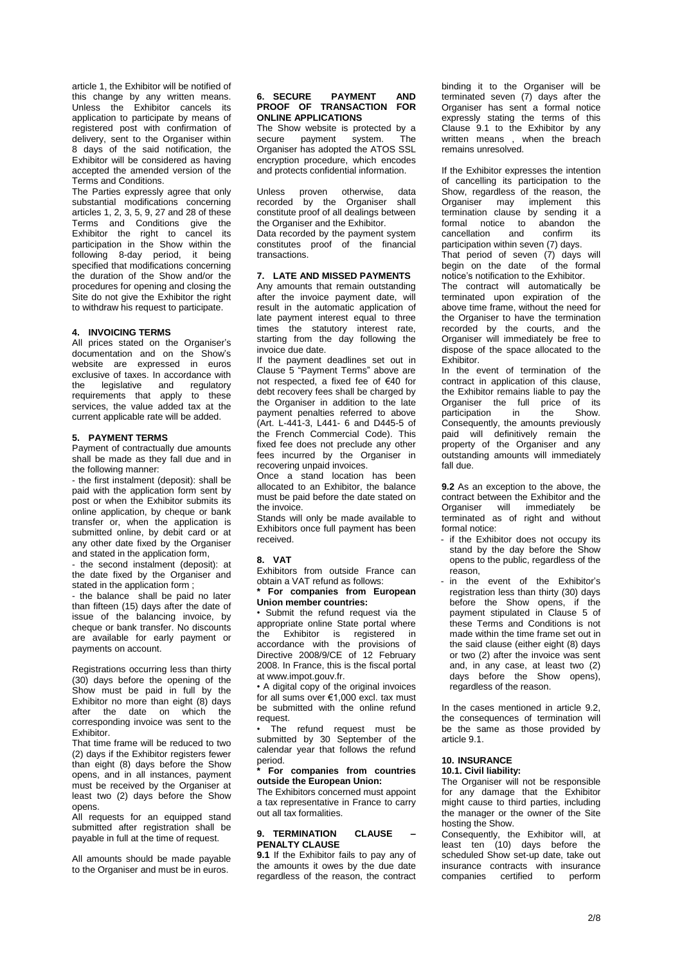article 1, the Exhibitor will be notified of this change by any written means. Unless the Exhibitor cancels its application to participate by means of registered post with confirmation of delivery, sent to the Organiser within 8 days of the said notification, the Exhibitor will be considered as having accepted the amended version of the Terms and Conditions.

The Parties expressly agree that only substantial modifications concerning articles 1, 2, 3, 5, 9, 27 and 28 of these Terms and Conditions give the Exhibitor the right to cancel its participation in the Show within the following 8-day period, it being specified that modifications concerning the duration of the Show and/or the procedures for opening and closing the Site do not give the Exhibitor the right to withdraw his request to participate.

# **4. INVOICING TERMS**

All prices stated on the Organiser's documentation and on the Show's website are expressed in euros exclusive of taxes. In accordance with<br>the legislative and regulatory the legislative and regulatory requirements that apply to these services, the value added tax at the current applicable rate will be added.

## **5. PAYMENT TERMS**

Payment of contractually due amounts shall be made as they fall due and in the following manner:

- the first instalment (deposit): shall be paid with the application form sent by post or when the Exhibitor submits its online application, by cheque or bank transfer or, when the application is submitted online, by debit card or at any other date fixed by the Organiser and stated in the application form,

- the second instalment (deposit): at the date fixed by the Organiser and stated in the application form :

- the balance shall be paid no later than fifteen (15) days after the date of issue of the balancing invoice, by cheque or bank transfer. No discounts are available for early payment or payments on account.

Registrations occurring less than thirty (30) days before the opening of the Show must be paid in full by the Exhibitor no more than eight (8) days after the date on which the corresponding invoice was sent to the Exhibitor.

That time frame will be reduced to two (2) days if the Exhibitor registers fewer than eight (8) days before the Show opens, and in all instances, payment must be received by the Organiser at least two (2) days before the Show opens.

All requests for an equipped stand submitted after registration shall be payable in full at the time of request.

All amounts should be made payable to the Organiser and must be in euros.

## **6. SECURE PAYMENT AND PROOF OF TRANSACTION FOR ONLINE APPLICATIONS**

The Show website is protected by a secure payment system. The Organiser has adopted the ATOS SSL encryption procedure, which encodes and protects confidential information.

Unless proven otherwise, data recorded by the Organiser shall constitute proof of all dealings between the Organiser and the Exhibitor.

Data recorded by the payment system constitutes proof of the financial transactions.

#### **7. LATE AND MISSED PAYMENTS**

Any amounts that remain outstanding after the invoice payment date, will result in the automatic application of late payment interest equal to three times the statutory interest rate, starting from the day following the invoice due date.

If the payment deadlines set out in Clause 5 "Payment Terms" above are not respected, a fixed fee of €40 for debt recovery fees shall be charged by the Organiser in addition to the late payment penalties referred to above (Art. L-441-3, L441- 6 and D445-5 of the French Commercial Code). This fixed fee does not preclude any other fees incurred by the Organiser in recovering unpaid invoices.

Once a stand location has been allocated to an Exhibitor, the balance must be paid before the date stated on the invoice.

Stands will only be made available to Exhibitors once full payment has been received.

#### **8. VAT**

Exhibitors from outside France can obtain a VAT refund as follows:

**\* For companies from European Union member countries:**

• Submit the refund request via the appropriate online State portal where the Exhibitor is registered in accordance with the provisions of Directive 2008/9/CE of 12 February 2008. In France, this is the fiscal portal at www.impot.gouv.fr.

• A digital copy of the original invoices for all sums over €1,000 excl. tax must be submitted with the online refund request.

The refund request must be submitted by 30 September of the calendar year that follows the refund period.

## **\* For companies from countries outside the European Union:**

The Exhibitors concerned must appoint a tax representative in France to carry out all tax formalities.

# **9. TERMINATION CLAUSE – PENALTY CLAUSE**

**9.1** If the Exhibitor fails to pay any of the amounts it owes by the due date regardless of the reason, the contract

binding it to the Organiser will be terminated seven (7) days after the Organiser has sent a formal notice expressly stating the terms of this Clause 9.1 to the Exhibitor by any written means , when the breach remains unresolved.

If the Exhibitor expresses the intention of cancelling its participation to the Show, regardless of the reason, the Organiser may implement this termination clause by sending it a formal notice to abandon the cancellation and confirm its participation within seven (7) days.

That period of seven (7) days will begin on the date of the formal notice's notification to the Exhibitor.

The contract will automatically be terminated upon expiration of the above time frame, without the need for the Organiser to have the termination recorded by the courts, and the Organiser will immediately be free to dispose of the space allocated to the Exhibitor.

In the event of termination of the contract in application of this clause, the Exhibitor remains liable to pay the Organiser the full price of its<br>participation in the Show. participation in the Consequently, the amounts previously paid will definitively remain the property of the Organiser and any outstanding amounts will immediately fall due.

**9.2** As an exception to the above, the contract between the Exhibitor and the Organiser will immediately be terminated as of right and without formal notice:

- if the Exhibitor does not occupy its stand by the day before the Show opens to the public, regardless of the reason,
- in the event of the Exhibitor's registration less than thirty (30) days before the Show opens, if the payment stipulated in Clause 5 of these Terms and Conditions is not made within the time frame set out in the said clause (either eight (8) days or two (2) after the invoice was sent and, in any case, at least two (2) days before the Show opens), regardless of the reason.

In the cases mentioned in article 9.2, the consequences of termination will be the same as those provided by article 9.1.

# **10. INSURANCE**

# **10.1. Civil liability:**

The Organiser will not be responsible for any damage that the Exhibitor might cause to third parties, including the manager or the owner of the Site hosting the Show.

Consequently, the Exhibitor will, at least ten (10) days before the scheduled Show set-up date, take out insurance contracts with insurance companies certified to perform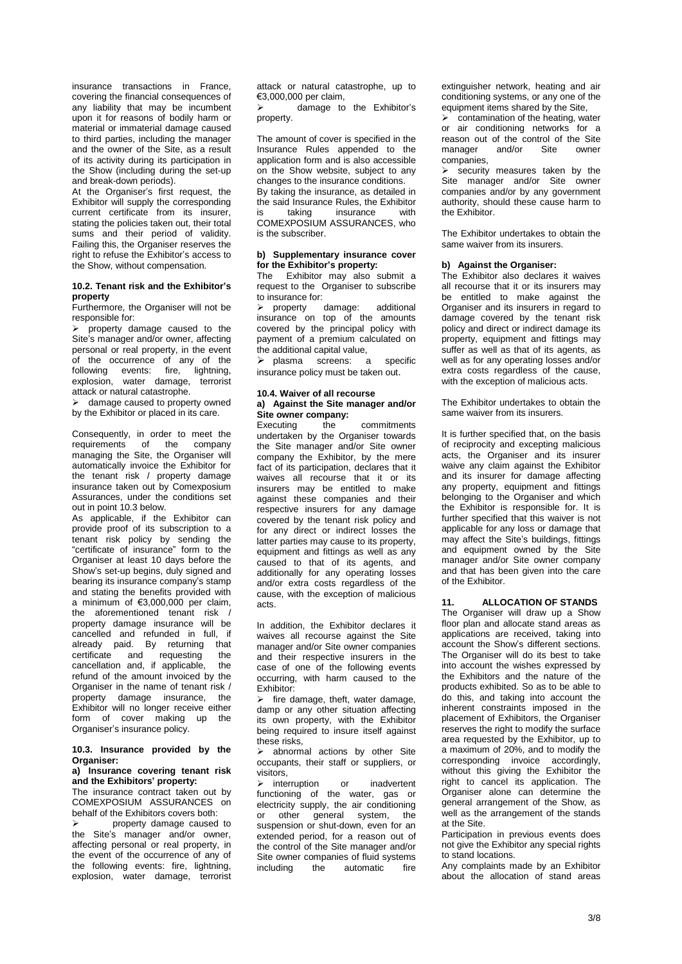insurance transactions in France, covering the financial consequences of any liability that may be incumbent upon it for reasons of bodily harm or material or immaterial damage caused to third parties, including the manager and the owner of the Site, as a result of its activity during its participation in the Show (including during the set-up and break-down periods).

At the Organiser's first request, the Exhibitor will supply the corresponding current certificate from its insurer, stating the policies taken out, their total sums and their period of validity. Failing this, the Organiser reserves the right to refuse the Exhibitor's access to the Show, without compensation.

# **10.2. Tenant risk and the Exhibitor's property**

Furthermore, the Organiser will not be responsible for:

 $\triangleright$  property damage caused to the Site's manager and/or owner, affecting personal or real property, in the event of the occurrence of any of the following events: fire, lightning, explosion, water damage, terrorist attack or natural catastrophe.

 $\triangleright$  damage caused to property owned by the Exhibitor or placed in its care.

Consequently, in order to meet the requirements of the company managing the Site, the Organiser will automatically invoice the Exhibitor for the tenant risk / property damage insurance taken out by Comexposium Assurances, under the conditions set out in point 10.3 below.

As applicable, if the Exhibitor can provide proof of its subscription to a tenant risk policy by sending the "certificate of insurance" form to the Organiser at least 10 days before the Show's set-up begins, duly signed and bearing its insurance company's stamp and stating the benefits provided with a minimum of €3,000,000 per claim, the aforementioned tenant risk / property damage insurance will be cancelled and refunded in full, if already paid. By returning that certificate and requesting the<br>cancellation and if applicable the  $c$ ancellation and, if applicable, refund of the amount invoiced by the Organiser in the name of tenant risk / property damage insurance, the Exhibitor will no longer receive either form of cover making up the Organiser's insurance policy.

# **10.3. Insurance provided by the Organiser:**

## **a) Insurance covering tenant risk and the Exhibitors' property:**

The insurance contract taken out by COMEXPOSIUM ASSURANCES on behalf of the Exhibitors covers both:

 property damage caused to the Site's manager and/or owner, affecting personal or real property, in the event of the occurrence of any of the following events: fire, lightning, explosion, water damage, terrorist attack or natural catastrophe, up to €3,000,000 per claim,

 $\triangleright$  damage to the Exhibitor's property.

The amount of cover is specified in the Insurance Rules appended to the application form and is also accessible on the Show website, subject to any changes to the insurance conditions. By taking the insurance, as detailed in the said Insurance Rules, the Exhibitor<br>is taking insurance with is taking insurance with COMEXPOSIUM ASSURANCES, who is the subscriber.

#### **b) Supplementary insurance cover for the Exhibitor's property:**

The Exhibitor may also submit a request to the Organiser to subscribe to insurance for:

 property damage: additional insurance on top of the amounts covered by the principal policy with payment of a premium calculated on the additional capital value,

> plasma screens: a specific insurance policy must be taken out.

#### **10.4. Waiver of all recourse a) Against the Site manager and/or Site owner company:**

Executing the commitments undertaken by the Organiser towards the Site manager and/or Site owner company the Exhibitor, by the mere fact of its participation, declares that it waives all recourse that it or its insurers may be entitled to make against these companies and their respective insurers for any damage covered by the tenant risk policy and for any direct or indirect losses the latter parties may cause to its property, equipment and fittings as well as any caused to that of its agents, and additionally for any operating losses and/or extra costs regardless of the cause, with the exception of malicious acts.

In addition, the Exhibitor declares it waives all recourse against the Site manager and/or Site owner companies and their respective insurers in the case of one of the following events occurring, with harm caused to the Exhibitor:

 $\triangleright$  fire damage, theft, water damage, damp or any other situation affecting its own property, with the Exhibitor being required to insure itself against these risks,

 $\triangleright$  abnormal actions by other Site occupants, their staff or suppliers, or visitors,

> interruption or inadvertent functioning of the water, gas or electricity supply, the air conditioning or other general system, the suspension or shut-down, even for an extended period, for a reason out of the control of the Site manager and/or Site owner companies of fluid systems including the automatic fire

extinguisher network, heating and air conditioning systems, or any one of the equipment items shared by the Site,

 $\triangleright$  contamination of the heating, water or air conditioning networks for a reason out of the control of the Site manager and/or Site owner companies,

 $\triangleright$  security measures taken by the Site manager and/or Site owner companies and/or by any government authority, should these cause harm to the Exhibitor.

The Exhibitor undertakes to obtain the same waiver from its insurers.

# **b) Against the Organiser:**

The Exhibitor also declares it waives all recourse that it or its insurers may be entitled to make against the Organiser and its insurers in regard to damage covered by the tenant risk policy and direct or indirect damage its property, equipment and fittings may suffer as well as that of its agents, as well as for any operating losses and/or extra costs regardless of the cause, with the exception of malicious acts.

The Exhibitor undertakes to obtain the same waiver from its insurers.

It is further specified that, on the basis of reciprocity and excepting malicious acts, the Organiser and its insurer waive any claim against the Exhibitor and its insurer for damage affecting any property, equipment and fittings belonging to the Organiser and which the Exhibitor is responsible for. It is further specified that this waiver is not applicable for any loss or damage that may affect the Site's buildings, fittings and equipment owned by the Site manager and/or Site owner company and that has been given into the care of the Exhibitor.

**11. ALLOCATION OF STANDS**

The Organiser will draw up a Show floor plan and allocate stand areas as applications are received, taking into account the Show's different sections. The Organiser will do its best to take into account the wishes expressed by the Exhibitors and the nature of the products exhibited. So as to be able to do this, and taking into account the inherent constraints imposed in the placement of Exhibitors, the Organiser reserves the right to modify the surface area requested by the Exhibitor, up to a maximum of 20%, and to modify the corresponding invoice accordingly, without this giving the Exhibitor the right to cancel its application. The Organiser alone can determine the general arrangement of the Show, as well as the arrangement of the stands at the Site.

Participation in previous events does not give the Exhibitor any special rights to stand locations.

Any complaints made by an Exhibitor about the allocation of stand areas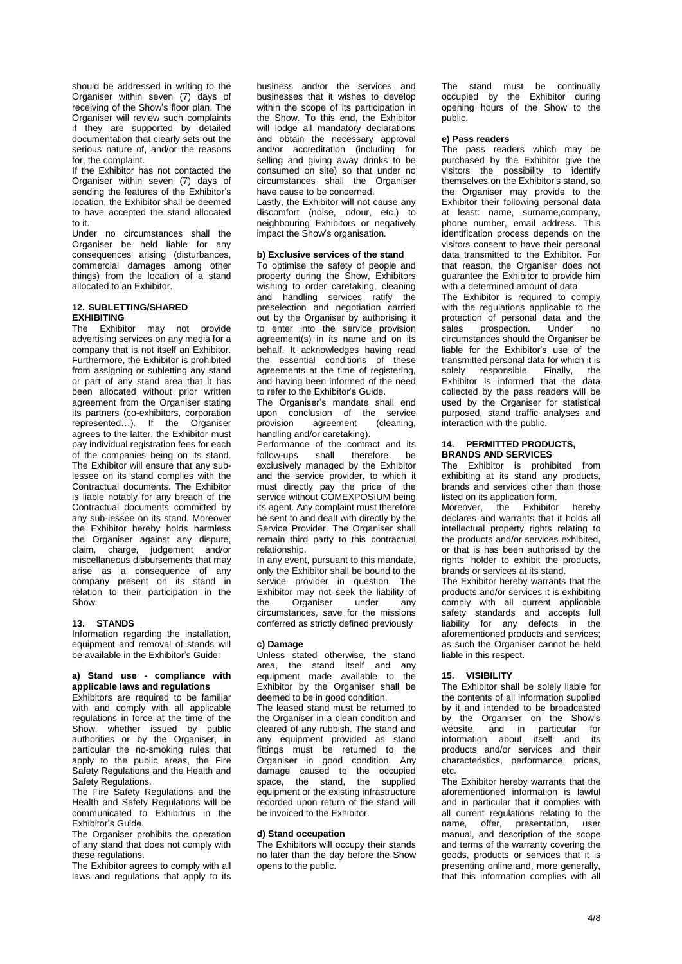should be addressed in writing to the Organiser within seven (7) days of receiving of the Show's floor plan. The Organiser will review such complaints if they are supported by detailed documentation that clearly sets out the serious nature of, and/or the reasons for, the complaint.

If the Exhibitor has not contacted the Organiser within seven (7) days of sending the features of the Exhibitor's location, the Exhibitor shall be deemed to have accepted the stand allocated to it.

Under no circumstances shall the Organiser be held liable for any consequences arising (disturbances, commercial damages among other things) from the location of a stand allocated to an Exhibitor.

## **12. SUBLETTING/SHARED EXHIBITING**

The Exhibitor may not provide advertising services on any media for a company that is not itself an Exhibitor. Furthermore, the Exhibitor is prohibited from assigning or subletting any stand or part of any stand area that it has been allocated without prior written agreement from the Organiser stating its partners (co-exhibitors, corporation represented…). If the Organiser agrees to the latter, the Exhibitor must pay individual registration fees for each of the companies being on its stand. The Exhibitor will ensure that any sublessee on its stand complies with the Contractual documents. The Exhibitor is liable notably for any breach of the Contractual documents committed by any sub-lessee on its stand. Moreover the Exhibitor hereby holds harmless the Organiser against any dispute, claim, charge, judgement and/or miscellaneous disbursements that may arise as a consequence of any company present on its stand in relation to their participation in the Show.

## **13. STANDS**

Information regarding the installation, equipment and removal of stands will be available in the Exhibitor's Guide:

# **a) Stand use - compliance with applicable laws and regulations**

Exhibitors are required to be familiar with and comply with all applicable regulations in force at the time of the Show, whether issued by public authorities or by the Organiser, in particular the no-smoking rules that apply to the public areas, the Fire Safety Regulations and the Health and Safety Regulations.

The Fire Safety Regulations and the Health and Safety Regulations will be communicated to Exhibitors in the Exhibitor's Guide.

The Organiser prohibits the operation of any stand that does not comply with these regulations.

The Exhibitor agrees to comply with all laws and regulations that apply to its

business and/or the services and businesses that it wishes to develop within the scope of its participation in the Show. To this end, the Exhibitor will lodge all mandatory declarations and obtain the necessary approval and/or accreditation (including for selling and giving away drinks to be consumed on site) so that under no circumstances shall the Organiser have cause to be concerned.

Lastly, the Exhibitor will not cause any discomfort (noise, odour, etc.) to neighbouring Exhibitors or negatively impact the Show's organisation.

## **b) Exclusive services of the stand**

To optimise the safety of people and property during the Show, Exhibitors wishing to order caretaking, cleaning and handling services ratify the preselection and negotiation carried out by the Organiser by authorising it to enter into the service provision agreement(s) in its name and on its behalf. It acknowledges having read the essential conditions of these agreements at the time of registering, and having been informed of the need to refer to the Exhibitor's Guide.

The Organiser's mandate shall end upon conclusion of the service provision agreement (cleaning, handling and/or caretaking).

Performance of the contract and its follow-ups shall therefore be exclusively managed by the Exhibitor and the service provider, to which it must directly pay the price of the service without COMEXPOSIUM being its agent. Any complaint must therefore be sent to and dealt with directly by the Service Provider. The Organiser shall remain third party to this contractual relationship.

In any event, pursuant to this mandate, only the Exhibitor shall be bound to the service provider in question. The Exhibitor may not seek the liability of<br>the Organiser under any the Organiser under any circumstances, save for the missions conferred as strictly defined previously

## **c) Damage**

Unless stated otherwise, the stand area, the stand itself and any equipment made available to the Exhibitor by the Organiser shall be deemed to be in good condition.

The leased stand must be returned to the Organiser in a clean condition and cleared of any rubbish. The stand and any equipment provided as stand fittings must be returned to the Organiser in good condition. Any damage caused to the occupied space, the stand, the supplied equipment or the existing infrastructure recorded upon return of the stand will be invoiced to the Exhibitor.

#### **d) Stand occupation**

The Exhibitors will occupy their stands no later than the day before the Show opens to the public.

The stand must be continually occupied by the Exhibitor during opening hours of the Show to the public.

#### **e) Pass readers**

The pass readers which may be purchased by the Exhibitor give the visitors the possibility to identify themselves on the Exhibitor's stand, so the Organiser may provide to the Exhibitor their following personal data at least: name, surname,company, phone number, email address. This identification process depends on the visitors consent to have their personal data transmitted to the Exhibitor. For that reason, the Organiser does not guarantee the Exhibitor to provide him with a determined amount of data.

The Exhibitor is required to comply with the regulations applicable to the protection of personal data and the<br>sales prospection. Under no prospection. Under no circumstances should the Organiser be liable for the Exhibitor's use of the transmitted personal data for which it is solely responsible. Finally, the Exhibitor is informed that the data collected by the pass readers will be used by the Organiser for statistical purposed, stand traffic analyses and interaction with the public.

## **14. PERMITTED PRODUCTS, BRANDS AND SERVICES**

The Exhibitor is prohibited from exhibiting at its stand any products. brands and services other than those listed on its application form.

Moreover, the Exhibitor hereby declares and warrants that it holds all intellectual property rights relating to the products and/or services exhibited, or that is has been authorised by the rights' holder to exhibit the products, brands or services at its stand.

The Exhibitor hereby warrants that the products and/or services it is exhibiting comply with all current applicable safety standards and accepts full liability for any defects in the aforementioned products and services; as such the Organiser cannot be held liable in this respect.

## **15. VISIBILITY**

The Exhibitor shall be solely liable for the contents of all information supplied by it and intended to be broadcasted by the Organiser on the Show's website, and in particular for information about itself and its products and/or services and their characteristics, performance, prices, etc.

The Exhibitor hereby warrants that the aforementioned information is lawful and in particular that it complies with all current regulations relating to the<br>name offer presentation user offer, presentation, manual, and description of the scope and terms of the warranty covering the goods, products or services that it is presenting online and, more generally, that this information complies with all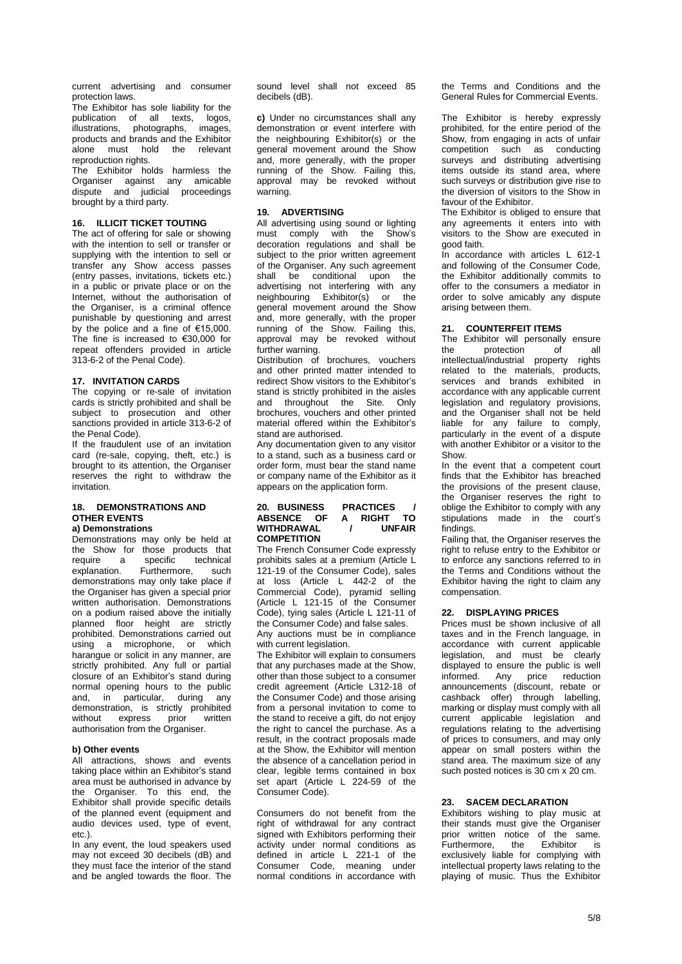current advertising and consumer protection laws.

The Exhibitor has sole liability for the publication of all texts, logos, illustrations, photographs, images, products and brands and the Exhibitor alone must hold the relevant reproduction rights.

The Exhibitor holds harmless the Organiser against any amicable dispute and judicial proceedings brought by a third party.

## **16. ILLICIT TICKET TOUTING**

The act of offering for sale or showing with the intention to sell or transfer or supplying with the intention to sell or transfer any Show access passes (entry passes, invitations, tickets etc.) in a public or private place or on the Internet, without the authorisation of the Organiser, is a criminal offence punishable by questioning and arrest by the police and a fine of  $€15,000$ . The fine is increased to €30,000 for repeat offenders provided in article 313-6-2 of the Penal Code).

## **17. INVITATION CARDS**

The copying or re-sale of invitation cards is strictly prohibited and shall be subject to prosecution and other sanctions provided in article 313-6-2 of the Penal Code).

If the fraudulent use of an invitation card (re-sale, copying, theft, etc.) is brought to its attention, the Organiser reserves the right to withdraw the invitation.

## **18. DEMONSTRATIONS AND OTHER EVENTS a) Demonstrations**

Demonstrations may only be held at the Show for those products that<br>require a specific technical a specific technical explanation. Furthermore, such demonstrations may only take place if the Organiser has given a special prior written authorisation. Demonstrations on a podium raised above the initially planned floor height are strictly prohibited. Demonstrations carried out using a microphone, or which harangue or solicit in any manner, are strictly prohibited. Any full or partial closure of an Exhibitor's stand during normal opening hours to the public and, in particular, during any demonstration, is strictly prohibited without express prior written authorisation from the Organiser.

#### **b) Other events**

All attractions, shows and events taking place within an Exhibitor's stand area must be authorised in advance by the Organiser. To this end, the Exhibitor shall provide specific details of the planned event (equipment and audio devices used, type of event, etc.).

In any event, the loud speakers used may not exceed 30 decibels (dB) and they must face the interior of the stand and be angled towards the floor. The sound level shall not exceed 85 decibels (dB).

**c)** Under no circumstances shall any demonstration or event interfere with the neighbouring Exhibitor(s) or the general movement around the Show and, more generally, with the proper running of the Show. Failing this, approval may be revoked without warning.

## **19. ADVERTISING**

All advertising using sound or lighting must comply with the Show's decoration regulations and shall be subject to the prior written agreement of the Organiser. Any such agreement shall be conditional upon the advertising not interfering with any neighbouring Exhibitor(s) or the general movement around the Show and, more generally, with the proper running of the Show. Failing this, approval may be revoked without further warning.

Distribution of brochures, vouchers and other printed matter intended to redirect Show visitors to the Exhibitor's stand is strictly prohibited in the aisles and throughout the Site. Only brochures, vouchers and other printed material offered within the Exhibitor's stand are authorised.

Any documentation given to any visitor to a stand, such as a business card or order form, must bear the stand name or company name of the Exhibitor as it appears on the application form.

## **20. BUSINESS PRACTICES / ABSENCE OF A RIGHT TO WITHDRAWAL / UNFAIR COMPETITION**

The French Consumer Code expressly prohibits sales at a premium (Article L 121-19 of the Consumer Code), sales at loss (Article L 442-2 of the Commercial Code), pyramid selling (Article L 121-15 of the Consumer Code), tying sales (Article L 121-11 of the Consumer Code) and false sales. Any auctions must be in compliance

with current legislation. The Exhibitor will explain to consumers that any purchases made at the Show,

other than those subject to a consumer credit agreement (Article L312-18 of the Consumer Code) and those arising from a personal invitation to come to the stand to receive a gift, do not enjoy the right to cancel the purchase. As a result, in the contract proposals made at the Show, the Exhibitor will mention the absence of a cancellation period in clear, legible terms contained in box set apart (Article L 224-59 of the Consumer Code).

Consumers do not benefit from the right of withdrawal for any contract signed with Exhibitors performing their activity under normal conditions as defined in article L 221-1 of the Consumer Code, meaning under normal conditions in accordance with the Terms and Conditions and the General Rules for Commercial Events.

The Exhibitor is hereby expressly prohibited, for the entire period of the Show, from engaging in acts of unfair competition such as conducting surveys and distributing advertising items outside its stand area, where such surveys or distribution give rise to the diversion of visitors to the Show in favour of the Exhibitor.

The Exhibitor is obliged to ensure that any agreements it enters into with visitors to the Show are executed in good faith.

In accordance with articles 1 612-1 and following of the Consumer Code, the Exhibitor additionally commits to offer to the consumers a mediator in order to solve amicably any dispute arising between them.

## **21. COUNTERFEIT ITEMS**

The Exhibitor will personally ensure the protection of all intellectual/industrial property rights related to the materials, products, services and brands exhibited in accordance with any applicable current legislation and regulatory provisions. and the Organiser shall not be held liable for any failure to comply, particularly in the event of a dispute with another Exhibitor or a visitor to the Show.

In the event that a competent court finds that the Exhibitor has breached the provisions of the present clause, the Organiser reserves the right to oblige the Exhibitor to comply with any stipulations made in the court's findings.

Failing that, the Organiser reserves the right to refuse entry to the Exhibitor or to enforce any sanctions referred to in the Terms and Conditions without the Exhibitor having the right to claim any compensation.

#### **22. DISPLAYING PRICES**

Prices must be shown inclusive of all taxes and in the French language, in accordance with current applicable legislation, and must be clearly displayed to ensure the public is well<br>informed. Any price reduction informed. Any price announcements (discount, rebate or cashback offer) through labelling, marking or display must comply with all current applicable legislation and regulations relating to the advertising of prices to consumers, and may only appear on small posters within the stand area. The maximum size of any such posted notices is 30 cm x 20 cm.

#### **23. SACEM DECLARATION**

Exhibitors wishing to play music at their stands must give the Organiser prior written notice of the same. Furthermore, the Exhibitor is exclusively liable for complying with intellectual property laws relating to the playing of music. Thus the Exhibitor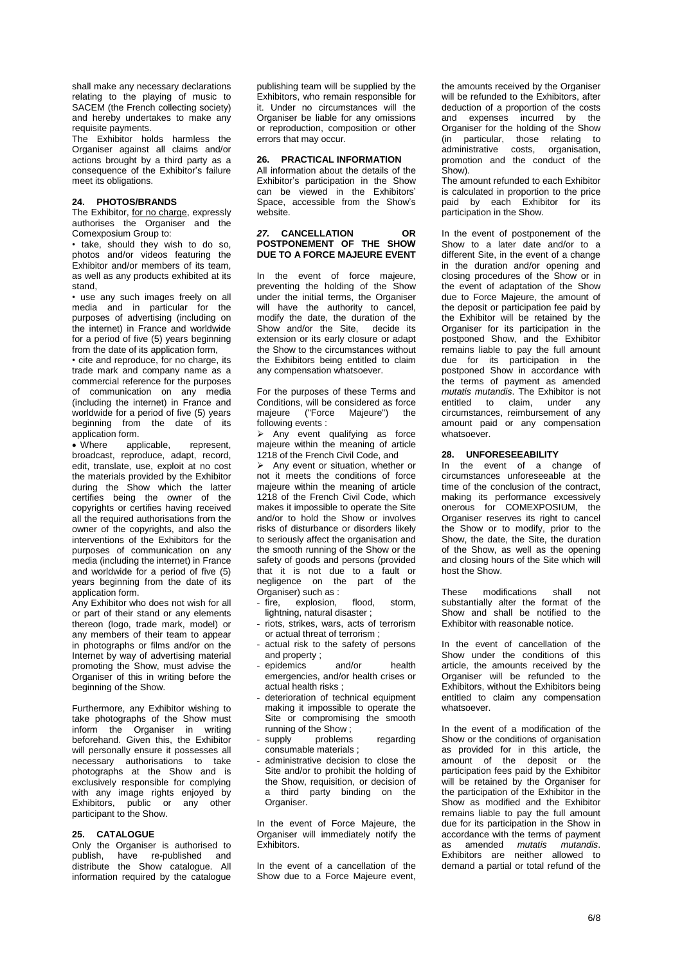shall make any necessary declarations relating to the playing of music to SACEM (the French collecting society) and hereby undertakes to make any requisite payments.

The Exhibitor holds harmless the Organiser against all claims and/or actions brought by a third party as a consequence of the Exhibitor's failure meet its obligations.

## **24. PHOTOS/BRANDS**

The Exhibitor, for no charge, expressly authorises the Organiser and the Comexposium Group to:

• take, should they wish to do so, photos and/or videos featuring the Exhibitor and/or members of its team, as well as any products exhibited at its stand,

• use any such images freely on all media and in particular for the purposes of advertising (including on the internet) in France and worldwide for a period of five (5) years beginning from the date of its application form,

• cite and reproduce, for no charge, its trade mark and company name as a commercial reference for the purposes of communication on any media (including the internet) in France and worldwide for a period of five (5) years beginning from the date of its application form.<br>• Where app

applicable, represent, broadcast, reproduce, adapt, record, edit, translate, use, exploit at no cost the materials provided by the Exhibitor during the Show which the latter certifies being the owner of the copyrights or certifies having received all the required authorisations from the owner of the copyrights, and also the interventions of the Exhibitors for the purposes of communication on any media (including the internet) in France and worldwide for a period of five (5) years beginning from the date of its application form.

Any Exhibitor who does not wish for all or part of their stand or any elements thereon (logo, trade mark, model) or any members of their team to appear in photographs or films and/or on the Internet by way of advertising material promoting the Show, must advise the Organiser of this in writing before the beginning of the Show.

Furthermore, any Exhibitor wishing to take photographs of the Show must inform the Organiser in writing beforehand. Given this, the Exhibitor will personally ensure it possesses all necessary authorisations to take photographs at the Show and is exclusively responsible for complying with any image rights enjoyed by Exhibitors, public or any other participant to the Show.

#### **25. CATALOGUE**

Only the Organiser is authorised to<br>publish, have re-published and have re-published and distribute the Show catalogue. All information required by the catalogue

publishing team will be supplied by the Exhibitors, who remain responsible for it. Under no circumstances will the Organiser be liable for any omissions or reproduction, composition or other errors that may occur.

# **26. PRACTICAL INFORMATION**

All information about the details of the Exhibitor's participation in the Show can be viewed in the Exhibitors' Space, accessible from the Show's website.

## *27.* **CANCELLATION OR POSTPONEMENT OF THE SHOW DUE TO A FORCE MAJEURE EVENT**

In the event of force majeure, preventing the holding of the Show under the initial terms, the Organiser will have the authority to cancel, modify the date, the duration of the Show and/or the Site, decide its extension or its early closure or adapt the Show to the circumstances without the Exhibitors being entitled to claim any compensation whatsoever.

For the purposes of these Terms and Conditions, will be considered as force majeure ("Force Majeure") the following events :

 $\triangleright$  Any event qualifying as force majeure within the meaning of article 1218 of the French Civil Code, and

 $\triangleright$  Any event or situation, whether or not it meets the conditions of force majeure within the meaning of article 1218 of the French Civil Code, which makes it impossible to operate the Site and/or to hold the Show or involves risks of disturbance or disorders likely to seriously affect the organisation and the smooth running of the Show or the safety of goods and persons (provided that it is not due to a fault or negligence on the part of the Organiser) such as :

- fire, explosion, flood, storm, lightning, natural disaster ;
- riots, strikes, wars, acts of terrorism or actual threat of terrorism ;
- actual risk to the safety of persons and property ;
- epidemics and/or health emergencies, and/or health crises or actual health risks ;
- deterioration of technical equipment making it impossible to operate the Site or compromising the smooth running of the Show ;
- supply problems regarding consumable materials ;
- administrative decision to close the Site and/or to prohibit the holding of the Show, requisition, or decision of a third party binding on the Organiser.

In the event of Force Majeure, the Organiser will immediately notify the Exhibitors.

In the event of a cancellation of the Show due to a Force Majeure event, the amounts received by the Organiser will be refunded to the Exhibitors, after deduction of a proportion of the costs and expenses incurred by the Organiser for the holding of the Show (in particular, those relating to administrative costs, organisation, promotion and the conduct of the Show).

The amount refunded to each Exhibitor is calculated in proportion to the price paid by each Exhibitor for its participation in the Show.

In the event of postponement of the Show to a later date and/or to a different Site, in the event of a change in the duration and/or opening and closing procedures of the Show or in the event of adaptation of the Show due to Force Majeure, the amount of the deposit or participation fee paid by the Exhibitor will be retained by the Organiser for its participation in the postponed Show, and the Exhibitor remains liable to pay the full amount due for its participation in the postponed Show in accordance with the terms of payment as amended *mutatis mutandis*. The Exhibitor is not entitled to claim, under any circumstances, reimbursement of any amount paid or any compensation whatsoever.

#### **28. UNFORESEEABILITY**

In the event of a change of circumstances unforeseeable at the time of the conclusion of the contract, making its performance excessively onerous for COMEXPOSIUM, the Organiser reserves its right to cancel the Show or to modify, prior to the Show, the date, the Site, the duration of the Show, as well as the opening and closing hours of the Site which will host the Show.

These modifications shall not substantially alter the format of the Show and shall be notified to the Exhibitor with reasonable notice.

In the event of cancellation of the Show under the conditions of this article, the amounts received by the Organiser will be refunded to the Exhibitors, without the Exhibitors being entitled to claim any compensation whatsoever.

In the event of a modification of the Show or the conditions of organisation as provided for in this article, the amount of the deposit or the participation fees paid by the Exhibitor will be retained by the Organiser for the participation of the Exhibitor in the Show as modified and the Exhibitor remains liable to pay the full amount due for its participation in the Show in accordance with the terms of payment as amended *mutatis mutandis*. Exhibitors are neither allowed to demand a partial or total refund of the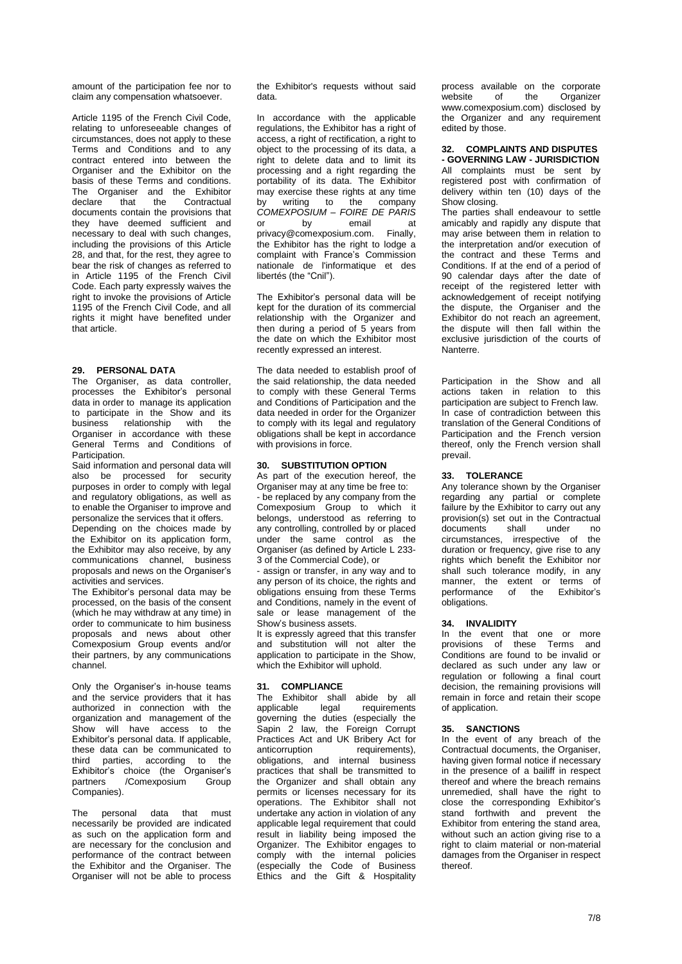amount of the participation fee nor to claim any compensation whatsoever.

Article 1195 of the French Civil Code, relating to unforeseeable changes of circumstances, does not apply to these Terms and Conditions and to any contract entered into between the Organiser and the Exhibitor on the basis of these Terms and conditions. The Organiser and the Exhibitor<br>declare that the Contractual the Contractual documents contain the provisions that they have deemed sufficient and necessary to deal with such changes, including the provisions of this Article 28, and that, for the rest, they agree to bear the risk of changes as referred to in Article 1195 of the French Civil Code. Each party expressly waives the right to invoke the provisions of Article 1195 of the French Civil Code, and all rights it might have benefited under that article.

# **29. PERSONAL DATA**

The Organiser, as data controller, processes the Exhibitor's personal data in order to manage its application to participate in the Show and its business relationship with the Organiser in accordance with these General Terms and Conditions of Participation

Said information and personal data will also be processed for security purposes in order to comply with legal and regulatory obligations, as well as to enable the Organiser to improve and personalize the services that it offers.

Depending on the choices made by the Exhibitor on its application form, the Exhibitor may also receive, by any communications channel, business proposals and news on the Organiser's activities and services.

The Exhibitor's personal data may be processed, on the basis of the consent (which he may withdraw at any time) in order to communicate to him business proposals and news about other Comexposium Group events and/or their partners, by any communications channel.

Only the Organiser's in-house teams and the service providers that it has authorized in connection with the organization and management of the Show will have access to the Exhibitor's personal data. If applicable, these data can be communicated to third parties, according to the Exhibitor's choice (the Organiser's<br>partners / Comexposium Group partners / Comexposium Companies).

The personal data that must necessarily be provided are indicated as such on the application form and are necessary for the conclusion and performance of the contract between the Exhibitor and the Organiser. The Organiser will not be able to process the Exhibitor's requests without said data.

In accordance with the applicable regulations, the Exhibitor has a right of access, a right of rectification, a right to object to the processing of its data, a right to delete data and to limit its processing and a right regarding the portability of its data. The Exhibitor may exercise these rights at any time by writing to the company *COMEXPOSIUM – FOIRE DE PARIS* or by email at<br>
nrivacv@comexposium.com. Finally,  $privacy@comexposition.com.$ the Exhibitor has the right to lodge a complaint with France's Commission nationale de l'informatique et des libertés (the "Cnil").

The Exhibitor's personal data will be kept for the duration of its commercial relationship with the Organizer and then during a period of  $\overline{5}$  years from the date on which the Exhibitor most recently expressed an interest.

The data needed to establish proof of the said relationship, the data needed to comply with these General Terms and Conditions of Participation and the data needed in order for the Organizer to comply with its legal and regulatory obligations shall be kept in accordance with provisions in force.

## **30. SUBSTITUTION OPTION**

As part of the execution hereof, the Organiser may at any time be free to: be replaced by any company from the Comexposium Group to which it belongs, understood as referring to any controlling, controlled by or placed under the same control as the Organiser (as defined by Article L 233- 3 of the Commercial Code), or

- assign or transfer, in any way and to any person of its choice, the rights and obligations ensuing from these Terms and Conditions, namely in the event of sale or lease management of the Show's business assets.

It is expressly agreed that this transfer and substitution will not alter the application to participate in the Show, which the Exhibitor will uphold.

## **31. COMPLIANCE**

The Exhibitor shall abide by all<br>applicable legal requirements requirements governing the duties (especially the Sapin 2 law, the Foreign Corrupt Practices Act and UK Bribery Act for<br>anticorruption requirements) requirements). obligations, and internal business practices that shall be transmitted to the Organizer and shall obtain any permits or licenses necessary for its operations. The Exhibitor shall not undertake any action in violation of any applicable legal requirement that could result in liability being imposed the Organizer. The Exhibitor engages to comply with the internal policies (especially the Code of Business Ethics and the Gift & Hospitality

process available on the corporate<br>website of the Organizer of the [www.comexposium.com\)](https://office365.eu.vadesecure.com/safeproxy/1/dmVyc2lvbjoyfG1lc3NhZ2VJRDpBQU1rQUdZME5qSmlaV1ZtTFRVeU1qY3ROR000T0MwNE1XWTBMVEUwTnpRMU9HUm1OalV4TXdCR0FBQUFBQUFxUjZhQUVIejZUN0lKM3ZBQkt1UVpCd0RLdjU1aVFuX0FRcG02M0pydnRUVTdBQUFBQUFFTUFBREt2NTVpUW5fQVFwbTYzSnJ2dFRVN0FBQVBGdzlYQUFBPXxlbWFpbEZyb206YXhlbGxlLnJlYnV0QGNvbWV4cG9zaXVtLmNvbXxlbWFpbFRvOm1vcmdhbmUuYmVyYW5nZXJAY29tZXhwb3NpdW0uY29tfGxvZ2luOmNiMWM1NDU4LWY0YTktNDlmNy05ZjBlLTM3M2Q3NGY4ODRlOHxjbGllbnRUeXBlOm9mZmljZQ==/www.comexposium.com) disclosed by the Organizer and any requirement edited by those.

## **32. COMPLAINTS AND DISPUTES - GOVERNING LAW - JURISDICTION** All complaints must be sent by registered post with confirmation of delivery within ten (10) days of the

Show closing. The parties shall endeavour to settle amicably and rapidly any dispute that may arise between them in relation to the interpretation and/or execution of the contract and these Terms and Conditions. If at the end of a period of 90 calendar days after the date of receipt of the registered letter with acknowledgement of receipt notifying the dispute, the Organiser and the Exhibitor do not reach an agreement, the dispute will then fall within the exclusive jurisdiction of the courts of Nanterre.

Participation in the Show and all actions taken in relation to this participation are subject to French law. In case of contradiction between this translation of the General Conditions of Participation and the French version thereof, only the French version shall prevail.

# **33. TOLERANCE**

Any tolerance shown by the Organiser regarding any partial or complete failure by the Exhibitor to carry out any provision(s) set out in the Contractual<br>documents shall under no documents shall under no circumstances, irrespective of the duration or frequency, give rise to any rights which benefit the Exhibitor nor shall such tolerance modify, in any manner, the extent or terms of performance of the Exhibitor's obligations.

# **34. INVALIDITY**

In the event that one or more provisions of these Terms and Conditions are found to be invalid or declared as such under any law or regulation or following a final court decision, the remaining provisions will remain in force and retain their scope of application.

## **35. SANCTIONS**

In the event of any breach of the Contractual documents, the Organiser, having given formal notice if necessary in the presence of a bailiff in respect thereof and where the breach remains unremedied, shall have the right to close the corresponding Exhibitor's stand forthwith and prevent the Exhibitor from entering the stand area, without such an action giving rise to a right to claim material or non-material damages from the Organiser in respect thereof.